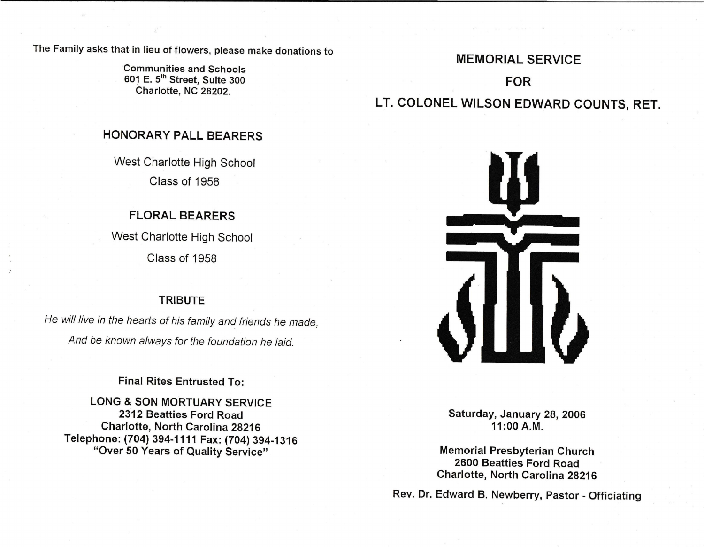The Family asks that in lieu of flowers, please make donations to

Communities and Schools 601 E. 5th Street, Suite 300 Charlotte, NC 28202.

# MEMORIAL SERVICE FOR LT. COLONEL WILSON EDWARD COUNTS, RET.

### HONORARY PALL BEARERS

West Charlotte High School Class of 1958

# FLORAL BEARERS

West Charlotte High School Class of 1958

## **TRIBUTE**

He will live in the hearts of his family and friends he made, And be known always for the foundation he laid.

## Final Rites Entrusted To:

LONG & SON MORTUARY SERVICE 2312 Beatties Ford Road Charlotte, North Carolina 28216 Telephone: (704) 394-1111 Fax: (704) 394-1316 "Over 50 Years of Quality Service"



Saturday, January 28, 2006 11 :00 A.M.

Memorial Presbyterian Church 2600 Beatties Ford Road Charlotte, North Carolina 28216

Rev. Dr. Edward B. Newberry, Pastor - Officiating